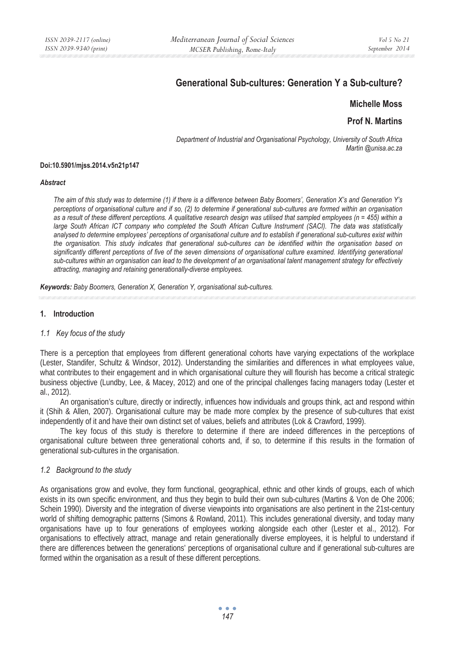# **Generational Sub-cultures: Generation Y a Sub-culture?**

### **Michelle Moss**

## **Prof N. Martins**

*Department of Industrial and Organisational Psychology, University of South Africa Martin @unisa.ac.za* 

#### **Doi:10.5901/mjss.2014.v5n21p147**

#### *Abstract*

*The aim of this study was to determine (1) if there is a difference between Baby Boomers', Generation X's and Generation Y's perceptions of organisational culture and if so, (2) to determine if generational sub-cultures are formed within an organisation as a result of these different perceptions. A qualitative research design was utilised that sampled employees (n = 455) within a large South African ICT company who completed the South African Culture Instrument (SACI). The data was statistically analysed to determine employees' perceptions of organisational culture and to establish if generational sub-cultures exist within the organisation. This study indicates that generational sub-cultures can be identified within the organisation based on*  significantly different perceptions of five of the seven dimensions of organisational culture examined. Identifying generational *sub-cultures within an organisation can lead to the development of an organisational talent management strategy for effectively attracting, managing and retaining generationally-diverse employees.* 

*Keywords: Baby Boomers, Generation X, Generation Y, organisational sub-cultures.*

#### **1. Introduction**

#### *1.1 Key focus of the study*

There is a perception that employees from different generational cohorts have varying expectations of the workplace (Lester, Standifer, Schultz & Windsor, 2012). Understanding the similarities and differences in what employees value, what contributes to their engagement and in which organisational culture they will flourish has become a critical strategic business objective (Lundby, Lee, & Macey, 2012) and one of the principal challenges facing managers today (Lester et al., 2012).

An organisation's culture, directly or indirectly, influences how individuals and groups think, act and respond within it (Shih & Allen, 2007). Organisational culture may be made more complex by the presence of sub-cultures that exist independently of it and have their own distinct set of values, beliefs and attributes (Lok & Crawford, 1999).

The key focus of this study is therefore to determine if there are indeed differences in the perceptions of organisational culture between three generational cohorts and, if so, to determine if this results in the formation of generational sub-cultures in the organisation.

#### *1.2 Background to the study*

As organisations grow and evolve, they form functional, geographical, ethnic and other kinds of groups, each of which exists in its own specific environment, and thus they begin to build their own sub-cultures (Martins & Von de Ohe 2006; Schein 1990). Diversity and the integration of diverse viewpoints into organisations are also pertinent in the 21st-century world of shifting demographic patterns (Simons & Rowland, 2011). This includes generational diversity, and today many organisations have up to four generations of employees working alongside each other (Lester et al., 2012). For organisations to effectively attract, manage and retain generationally diverse employees, it is helpful to understand if there are differences between the generations' perceptions of organisational culture and if generational sub-cultures are formed within the organisation as a result of these different perceptions.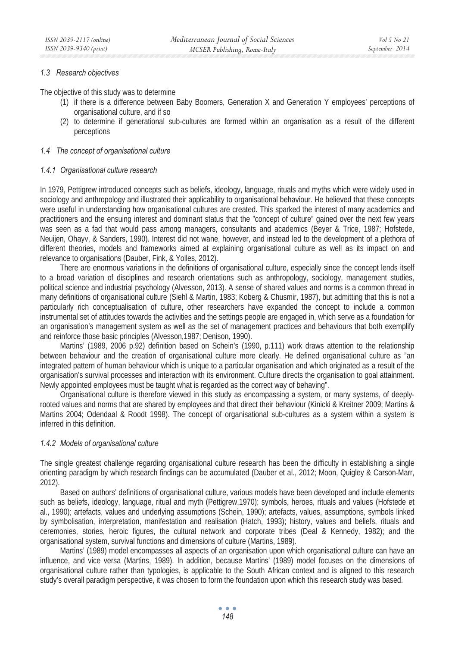### *1.3 Research objectives*

The objective of this study was to determine

- (1) if there is a difference between Baby Boomers, Generation X and Generation Y employees' perceptions of organisational culture, and if so
- (2) to determine if generational sub-cultures are formed within an organisation as a result of the different perceptions

#### *1.4 The concept of organisational culture*

#### *1.4.1 Organisational culture research*

In 1979, Pettigrew introduced concepts such as beliefs, ideology, language, rituals and myths which were widely used in sociology and anthropology and illustrated their applicability to organisational behaviour. He believed that these concepts were useful in understanding how organisational cultures are created. This sparked the interest of many academics and practitioners and the ensuing interest and dominant status that the "concept of culture" gained over the next few years was seen as a fad that would pass among managers, consultants and academics (Beyer & Trice, 1987; Hofstede, Neuijen, Ohayv, & Sanders, 1990). Interest did not wane, however, and instead led to the development of a plethora of different theories, models and frameworks aimed at explaining organisational culture as well as its impact on and relevance to organisations (Dauber, Fink, & Yolles, 2012).

There are enormous variations in the definitions of organisational culture, especially since the concept lends itself to a broad variation of disciplines and research orientations such as anthropology, sociology, management studies, political science and industrial psychology (Alvesson, 2013). A sense of shared values and norms is a common thread in many definitions of organisational culture (Siehl & Martin, 1983; Koberg & Chusmir, 1987), but admitting that this is not a particularly rich conceptualisation of culture, other researchers have expanded the concept to include a common instrumental set of attitudes towards the activities and the settings people are engaged in, which serve as a foundation for an organisation's management system as well as the set of management practices and behaviours that both exemplify and reinforce those basic principles (Alvesson,1987; Denison, 1990).

Martins' (1989, 2006 p.92) definition based on Schein's (1990, p.111) work draws attention to the relationship between behaviour and the creation of organisational culture more clearly. He defined organisational culture as "an integrated pattern of human behaviour which is unique to a particular organisation and which originated as a result of the organisation's survival processes and interaction with its environment. Culture directs the organisation to goal attainment. Newly appointed employees must be taught what is regarded as the correct way of behaving".

Organisational culture is therefore viewed in this study as encompassing a system, or many systems, of deeplyrooted values and norms that are shared by employees and that direct their behaviour (Kinicki & Kreitner 2009; Martins & Martins 2004; Odendaal & Roodt 1998). The concept of organisational sub-cultures as a system within a system is inferred in this definition.

## *1.4.2 Models of organisational culture*

The single greatest challenge regarding organisational culture research has been the difficulty in establishing a single orienting paradigm by which research findings can be accumulated (Dauber et al., 2012; Moon, Quigley & Carson-Marr, 2012).

Based on authors' definitions of organisational culture, various models have been developed and include elements such as beliefs, ideology, language, ritual and myth (Pettigrew,1970); symbols, heroes, rituals and values (Hofstede et al., 1990); artefacts, values and underlying assumptions (Schein, 1990); artefacts, values, assumptions, symbols linked by symbolisation, interpretation, manifestation and realisation (Hatch, 1993); history, values and beliefs, rituals and ceremonies, stories, heroic figures, the cultural network and corporate tribes (Deal & Kennedy, 1982); and the organisational system, survival functions and dimensions of culture (Martins, 1989).

Martins' (1989) model encompasses all aspects of an organisation upon which organisational culture can have an influence, and vice versa (Martins, 1989). In addition, because Martins' (1989) model focuses on the dimensions of organisational culture rather than typologies, is applicable to the South African context and is aligned to this research study's overall paradigm perspective, it was chosen to form the foundation upon which this research study was based.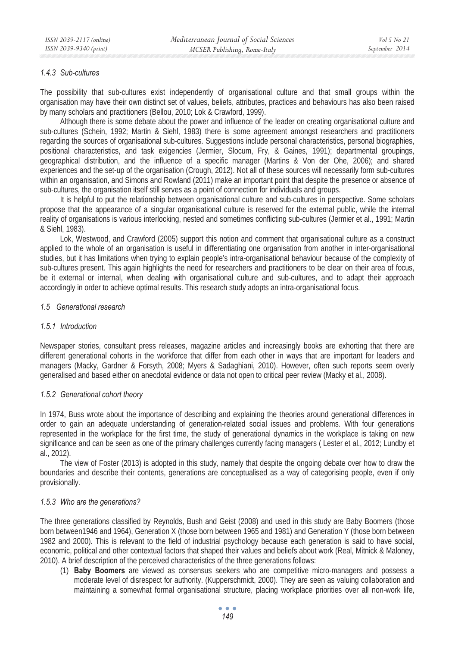### *1.4.3 Sub-cultures*

The possibility that sub-cultures exist independently of organisational culture and that small groups within the organisation may have their own distinct set of values, beliefs, attributes, practices and behaviours has also been raised by many scholars and practitioners (Bellou, 2010; Lok & Crawford, 1999).

Although there is some debate about the power and influence of the leader on creating organisational culture and sub-cultures (Schein, 1992; Martin & Siehl, 1983) there is some agreement amongst researchers and practitioners regarding the sources of organisational sub-cultures. Suggestions include personal characteristics, personal biographies, positional characteristics, and task exigencies (Jermier, Slocum, Fry, & Gaines, 1991); departmental groupings, geographical distribution, and the influence of a specific manager (Martins & Von der Ohe, 2006); and shared experiences and the set-up of the organisation (Crough, 2012). Not all of these sources will necessarily form sub-cultures within an organisation, and Simons and Rowland (2011) make an important point that despite the presence or absence of sub-cultures, the organisation itself still serves as a point of connection for individuals and groups.

It is helpful to put the relationship between organisational culture and sub-cultures in perspective. Some scholars propose that the appearance of a singular organisational culture is reserved for the external public, while the internal reality of organisations is various interlocking, nested and sometimes conflicting sub-cultures (Jermier et al., 1991; Martin & Siehl, 1983).

Lok, Westwood, and Crawford (2005) support this notion and comment that organisational culture as a construct applied to the whole of an organisation is useful in differentiating one organisation from another in inter-organisational studies, but it has limitations when trying to explain people's intra-organisational behaviour because of the complexity of sub-cultures present. This again highlights the need for researchers and practitioners to be clear on their area of focus, be it external or internal, when dealing with organisational culture and sub-cultures, and to adapt their approach accordingly in order to achieve optimal results. This research study adopts an intra-organisational focus.

#### *1.5 Generational research*

### *1.5.1 Introduction*

Newspaper stories, consultant press releases, magazine articles and increasingly books are exhorting that there are different generational cohorts in the workforce that differ from each other in ways that are important for leaders and managers (Macky, Gardner & Forsyth, 2008; Myers & Sadaghiani, 2010). However, often such reports seem overly generalised and based either on anecdotal evidence or data not open to critical peer review (Macky et al., 2008).

#### *1.5.2 Generational cohort theory*

In 1974, Buss wrote about the importance of describing and explaining the theories around generational differences in order to gain an adequate understanding of generation-related social issues and problems. With four generations represented in the workplace for the first time, the study of generational dynamics in the workplace is taking on new significance and can be seen as one of the primary challenges currently facing managers (Lester et al., 2012; Lundby et al., 2012).

The view of Foster (2013) is adopted in this study, namely that despite the ongoing debate over how to draw the boundaries and describe their contents, generations are conceptualised as a way of categorising people, even if only provisionally.

#### *1.5.3 Who are the generations?*

The three generations classified by Reynolds, Bush and Geist (2008) and used in this study are Baby Boomers (those born between1946 and 1964), Generation X (those born between 1965 and 1981) and Generation Y (those born between 1982 and 2000). This is relevant to the field of industrial psychology because each generation is said to have social, economic, political and other contextual factors that shaped their values and beliefs about work (Real, Mitnick & Maloney, 2010). A brief description of the perceived characteristics of the three generations follows:

(1) **Baby Boomers** are viewed as consensus seekers who are competitive micro-managers and possess a moderate level of disrespect for authority. (Kupperschmidt, 2000). They are seen as valuing collaboration and maintaining a somewhat formal organisational structure, placing workplace priorities over all non-work life,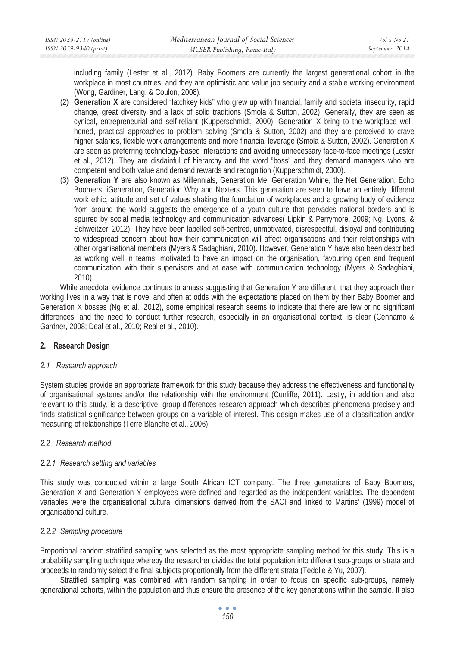including family (Lester et al., 2012). Baby Boomers are currently the largest generational cohort in the workplace in most countries, and they are optimistic and value job security and a stable working environment (Wong, Gardiner, Lang, & Coulon, 2008).

- (2) **Generation X** are considered "latchkey kids" who grew up with financial, family and societal insecurity, rapid change, great diversity and a lack of solid traditions (Smola & Sutton, 2002). Generally, they are seen as cynical, entrepreneurial and self-reliant (Kupperschmidt, 2000). Generation X bring to the workplace wellhoned, practical approaches to problem solving (Smola & Sutton, 2002) and they are perceived to crave higher salaries, flexible work arrangements and more financial leverage (Smola & Sutton, 2002). Generation X are seen as preferring technology-based interactions and avoiding unnecessary face-to-face meetings (Lester et al., 2012). They are disdainful of hierarchy and the word "boss" and they demand managers who are competent and both value and demand rewards and recognition (Kupperschmidt, 2000).
- (3) **Generation Y** are also known as Millennials, Generation Me, Generation Whine, the Net Generation, Echo Boomers, iGeneration, Generation Why and Nexters. This generation are seen to have an entirely different work ethic, attitude and set of values shaking the foundation of workplaces and a growing body of evidence from around the world suggests the emergence of a youth culture that pervades national borders and is spurred by social media technology and communication advances( Lipkin & Perrymore, 2009; Ng, Lyons, & Schweitzer, 2012). They have been labelled self-centred, unmotivated, disrespectful, disloyal and contributing to widespread concern about how their communication will affect organisations and their relationships with other organisational members (Myers & Sadaghiani, 2010). However, Generation Y have also been described as working well in teams, motivated to have an impact on the organisation, favouring open and frequent communication with their supervisors and at ease with communication technology (Myers & Sadaghiani, 2010).

While anecdotal evidence continues to amass suggesting that Generation Y are different, that they approach their working lives in a way that is novel and often at odds with the expectations placed on them by their Baby Boomer and Generation X bosses (Ng et al., 2012), some empirical research seems to indicate that there are few or no significant differences, and the need to conduct further research, especially in an organisational context, is clear (Cennamo & Gardner, 2008; Deal et al., 2010; Real et al., 2010).

## **2. Research Design**

## *2.1 Research approach*

System studies provide an appropriate framework for this study because they address the effectiveness and functionality of organisational systems and/or the relationship with the environment (Cunliffe, 2011). Lastly, in addition and also relevant to this study, is a descriptive, group-differences research approach which describes phenomena precisely and finds statistical significance between groups on a variable of interest. This design makes use of a classification and/or measuring of relationships (Terre Blanche et al., 2006).

## *2.2 Research method*

## *2.2.1 Research setting and variables*

This study was conducted within a large South African ICT company. The three generations of Baby Boomers, Generation X and Generation Y employees were defined and regarded as the independent variables. The dependent variables were the organisational cultural dimensions derived from the SACI and linked to Martins' (1999) model of organisational culture.

## *2.2.2 Sampling procedure*

Proportional random stratified sampling was selected as the most appropriate sampling method for this study. This is a probability sampling technique whereby the researcher divides the total population into different sub-groups or strata and proceeds to randomly select the final subjects proportionally from the different strata (Teddlie & Yu, 2007).

Stratified sampling was combined with random sampling in order to focus on specific sub-groups, namely generational cohorts, within the population and thus ensure the presence of the key generations within the sample. It also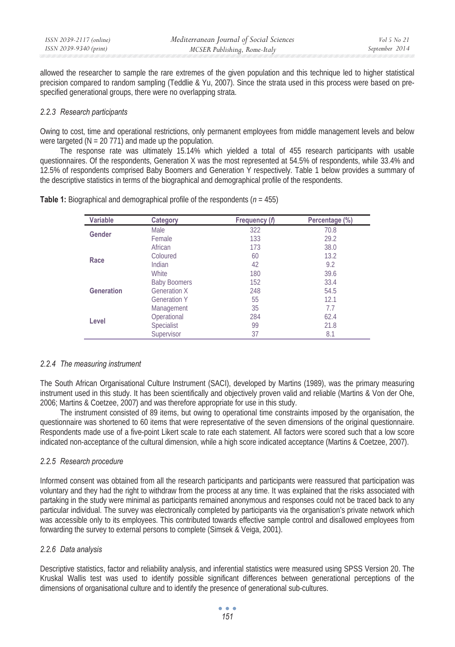| ISSN 2039-2117 (online) | Mediterranean Journal of Social Sciences | Vol 5 No 21    |
|-------------------------|------------------------------------------|----------------|
| ISSN 2039-9340 (print)  | MCSER Publishing, Rome-Italy             | September 2014 |

allowed the researcher to sample the rare extremes of the given population and this technique led to higher statistical precision compared to random sampling (Teddlie & Yu, 2007). Since the strata used in this process were based on prespecified generational groups, there were no overlapping strata.

#### *2.2.3 Research participants*

Owing to cost, time and operational restrictions, only permanent employees from middle management levels and below were targeted ( $N = 20$  771) and made up the population.

The response rate was ultimately 15.14% which yielded a total of 455 research participants with usable questionnaires. Of the respondents, Generation X was the most represented at 54.5% of respondents, while 33.4% and 12.5% of respondents comprised Baby Boomers and Generation Y respectively. Table 1 below provides a summary of the descriptive statistics in terms of the biographical and demographical profile of the respondents.

| <b>Variable</b>   | Category            | Frequency (f) | Percentage (%) |
|-------------------|---------------------|---------------|----------------|
|                   | Male                | 322           | 70.8           |
| Gender            | Female              | 133           | 29.2           |
|                   | African             | 173           | 38.0           |
|                   | Coloured            | 60            | 13.2           |
| Race              | Indian              | 42            | 9.2            |
|                   | <b>White</b>        | 180           | 39.6           |
|                   | <b>Baby Boomers</b> | 152           | 33.4           |
| <b>Generation</b> | <b>Generation X</b> | 248           | 54.5           |
|                   | <b>Generation Y</b> | 55            | 12.1           |
|                   | Management          | 35            | 7.7            |
| Level             | Operational         | 284           | 62.4           |
|                   | Specialist          | 99            | 21.8           |
|                   | Supervisor          | 37            | 8.1            |

**Table 1:** Biographical and demographical profile of the respondents (*n* = 455)

#### *2.2.4 The measuring instrument*

The South African Organisational Culture Instrument (SACI), developed by Martins (1989), was the primary measuring instrument used in this study. It has been scientifically and objectively proven valid and reliable (Martins & Von der Ohe, 2006; Martins & Coetzee, 2007) and was therefore appropriate for use in this study.

The instrument consisted of 89 items, but owing to operational time constraints imposed by the organisation, the questionnaire was shortened to 60 items that were representative of the seven dimensions of the original questionnaire. Respondents made use of a five-point Likert scale to rate each statement. All factors were scored such that a low score indicated non-acceptance of the cultural dimension, while a high score indicated acceptance (Martins & Coetzee, 2007).

#### *2.2.5 Research procedure*

Informed consent was obtained from all the research participants and participants were reassured that participation was voluntary and they had the right to withdraw from the process at any time. It was explained that the risks associated with partaking in the study were minimal as participants remained anonymous and responses could not be traced back to any particular individual. The survey was electronically completed by participants via the organisation's private network which was accessible only to its employees. This contributed towards effective sample control and disallowed employees from forwarding the survey to external persons to complete (Simsek & Veiga, 2001).

#### *2.2.6 Data analysis*

Descriptive statistics, factor and reliability analysis, and inferential statistics were measured using SPSS Version 20. The Kruskal Wallis test was used to identify possible significant differences between generational perceptions of the dimensions of organisational culture and to identify the presence of generational sub-cultures.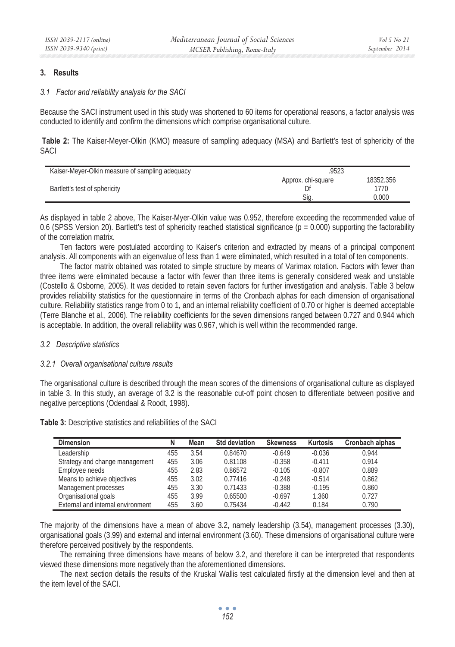### **3. Results**

### *3.1 Factor and reliability analysis for the SACI*

Because the SACI instrument used in this study was shortened to 60 items for operational reasons, a factor analysis was conducted to identify and confirm the dimensions which comprise organisational culture.

**Table 2:** The Kaiser-Meyer-Olkin (KMO) measure of sampling adequacy (MSA) and Bartlett's test of sphericity of the SACI

| Kaiser-Meyer-Olkin measure of sampling adequacy | 9523               |           |  |
|-------------------------------------------------|--------------------|-----------|--|
|                                                 | Approx. chi-square | 18352.356 |  |
| Bartlett's test of sphericity                   |                    | 1770      |  |
|                                                 | Sia                | 0.000     |  |

As displayed in table 2 above, The Kaiser-Myer-Olkin value was 0.952, therefore exceeding the recommended value of 0.6 (SPSS Version 20). Bartlett's test of sphericity reached statistical significance ( $p = 0.000$ ) supporting the factorability of the correlation matrix.

Ten factors were postulated according to Kaiser's criterion and extracted by means of a principal component analysis. All components with an eigenvalue of less than 1 were eliminated, which resulted in a total of ten components.

The factor matrix obtained was rotated to simple structure by means of Varimax rotation. Factors with fewer than three items were eliminated because a factor with fewer than three items is generally considered weak and unstable (Costello & Osborne, 2005). It was decided to retain seven factors for further investigation and analysis. Table 3 below provides reliability statistics for the questionnaire in terms of the Cronbach alphas for each dimension of organisational culture. Reliability statistics range from 0 to 1, and an internal reliability coefficient of 0.70 or higher is deemed acceptable (Terre Blanche et al., 2006). The reliability coefficients for the seven dimensions ranged between 0.727 and 0.944 which is acceptable. In addition, the overall reliability was 0.967, which is well within the recommended range.

#### *3.2 Descriptive statistics*

#### *3.2.1 Overall organisational culture results*

The organisational culture is described through the mean scores of the dimensions of organisational culture as displayed in table 3. In this study, an average of 3.2 is the reasonable cut-off point chosen to differentiate between positive and negative perceptions (Odendaal & Roodt, 1998).

| <b>Dimension</b>                  | N   | Mean | <b>Std deviation</b> | <b>Skewness</b> | <b>Kurtosis</b> | Cronbach alphas |
|-----------------------------------|-----|------|----------------------|-----------------|-----------------|-----------------|
| Leadership                        | 455 | 3.54 | 0.84670              | $-0.649$        | $-0.036$        | 0.944           |
| Strategy and change management    | 455 | 3.06 | 0.81108              | $-0.358$        | $-0.411$        | 0.914           |
| Employee needs                    | 455 | 2.83 | 0.86572              | $-0.105$        | $-0.807$        | 0.889           |
| Means to achieve objectives       | 455 | 3.02 | 0.77416              | $-0.248$        | $-0.514$        | 0.862           |
| Management processes              | 455 | 3.30 | 0.71433              | $-0.388$        | $-0.195$        | 0.860           |
| Organisational goals              | 455 | 3.99 | 0.65500              | $-0.697$        | 1.360           | 0.727           |
| External and internal environment | 455 | 3.60 | 0.75434              | $-0.442$        | 0.184           | 0.790           |

**Table 3:** Descriptive statistics and reliabilities of the SACI

The majority of the dimensions have a mean of above 3.2, namely leadership (3.54), management processes (3.30), organisational goals (3.99) and external and internal environment (3.60). These dimensions of organisational culture were therefore perceived positively by the respondents.

The remaining three dimensions have means of below 3.2, and therefore it can be interpreted that respondents viewed these dimensions more negatively than the aforementioned dimensions.

The next section details the results of the Kruskal Wallis test calculated firstly at the dimension level and then at the item level of the SACI.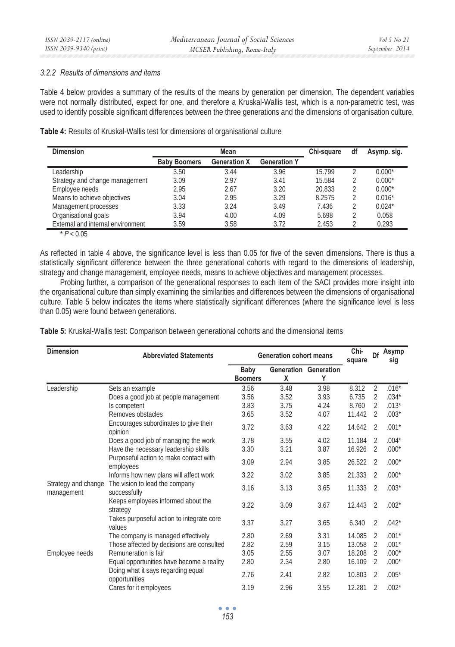### *3.2.2 Results of dimensions and items*

Table 4 below provides a summary of the results of the means by generation per dimension. The dependent variables were not normally distributed, expect for one, and therefore a Kruskal-Wallis test, which is a non-parametric test, was used to identify possible significant differences between the three generations and the dimensions of organisation culture.

**Table 4:** Results of Kruskal-Wallis test for dimensions of organisational culture

| <b>Dimension</b>                  | Mean                |                     |                     | Chi-square | df | Asymp. sig. |
|-----------------------------------|---------------------|---------------------|---------------------|------------|----|-------------|
|                                   | <b>Baby Boomers</b> | <b>Generation X</b> | <b>Generation Y</b> |            |    |             |
| Leadership                        | 3.50                | 3.44                | 3.96                | 15.799     |    | $0.000*$    |
| Strategy and change management    | 3.09                | 2.97                | 3.41                | 15.584     |    | $0.000*$    |
| Employee needs                    | 2.95                | 2.67                | 3.20                | 20.833     |    | $0.000*$    |
| Means to achieve objectives       | 3.04                | 2.95                | 3.29                | 8.2575     |    | $0.016*$    |
| Management processes              | 3.33                | 3.24                | 3.49                | 7.436      |    | $0.024*$    |
| Organisational goals              | 3.94                | 4.00                | 4.09                | 5.698      |    | 0.058       |
| External and internal environment | 3.59                | 3.58                | 3.72                | 2.453      |    | 0.293       |

 $P < 0.05$ 

As reflected in table 4 above, the significance level is less than 0.05 for five of the seven dimensions. There is thus a statistically significant difference between the three generational cohorts with regard to the dimensions of leadership, strategy and change management, employee needs, means to achieve objectives and management processes.

Probing further, a comparison of the generational responses to each item of the SACI provides more insight into the organisational culture than simply examining the similarities and differences between the dimensions of organisational culture. Table 5 below indicates the items where statistically significant differences (where the significance level is less than 0.05) were found between generations.

**Table 5:** Kruskal-Wallis test: Comparison between generational cohorts and the dimensional items

| <b>Dimension</b>                  | <b>Abbreviated Statements</b>                       | <b>Generation cohort means</b> |      |                            | Chi-<br>square | Df             | Asymp<br>sig |
|-----------------------------------|-----------------------------------------------------|--------------------------------|------|----------------------------|----------------|----------------|--------------|
|                                   |                                                     | Baby<br><b>Boomers</b>         | X    | Generation Generation<br>Y |                |                |              |
| Leadership                        | Sets an example                                     | 3.56                           | 3.48 | 3.98                       | 8.312          | $\overline{2}$ | $.016*$      |
|                                   | Does a good job at people management                | 3.56                           | 3.52 | 3.93                       | 6.735          | $\overline{2}$ | $.034*$      |
|                                   | Is competent                                        | 3.83                           | 3.75 | 4.24                       | 8.760          | $\overline{2}$ | $.013*$      |
|                                   | Removes obstacles                                   | 3.65                           | 3.52 | 4.07                       | 11.442         | $\overline{2}$ | $.003*$      |
|                                   | Encourages subordinates to give their<br>opinion    | 3.72                           | 3.63 | 4.22                       | 14.642         | $\overline{2}$ | $.001*$      |
|                                   | Does a good job of managing the work                | 3.78                           | 3.55 | 4.02                       | 11.184         | $\overline{2}$ | $.004*$      |
|                                   | Have the necessary leadership skills                | 3.30                           | 3.21 | 3.87                       | 16.926         | $\overline{2}$ | $.000*$      |
|                                   | Purposeful action to make contact with<br>employees | 3.09                           | 2.94 | 3.85                       | 26.522         | 2              | $.000*$      |
|                                   | Informs how new plans will affect work              | 3.22                           | 3.02 | 3.85                       | 21.333         | 2              | $.000*$      |
| Strategy and change<br>management | The vision to lead the company<br>successfully      | 3.16                           | 3.13 | 3.65                       | 11.333         | $\overline{2}$ | $.003*$      |
|                                   | Keeps employees informed about the<br>strategy      | 3.22                           | 3.09 | 3.67                       | 12.443         | $\overline{2}$ | $.002*$      |
|                                   | Takes purposeful action to integrate core<br>values | 3.37                           | 3.27 | 3.65                       | 6.340          | $\overline{2}$ | $.042*$      |
|                                   | The company is managed effectively                  | 2.80                           | 2.69 | 3.31                       | 14.085         | $\mathfrak{D}$ | $.001*$      |
|                                   | Those affected by decisions are consulted           | 2.82                           | 2.59 | 3.15                       | 13.058         | 2              | $.001*$      |
| Employee needs                    | Remuneration is fair                                | 3.05                           | 2.55 | 3.07                       | 18.208         | 2              | $.000*$      |
|                                   | Equal opportunities have become a reality           | 2.80                           | 2.34 | 2.80                       | 16.109         | $\overline{2}$ | $.000*$      |
|                                   | Doing what it says regarding equal<br>opportunities | 2.76                           | 2.41 | 2.82                       | 10.803         | $\overline{2}$ | $.005*$      |
|                                   | Cares for it employees                              | 3.19                           | 2.96 | 3.55                       | 12.281         | 2              | $.002*$      |

 $\bullet$   $\bullet$   $\bullet$ *153*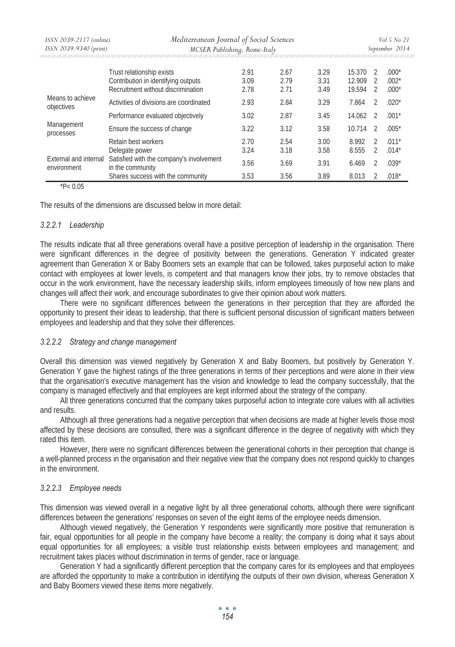| ISSN 2039-2117 (online)<br>ISSN 2039-9340 (print) |                                                                                                        | Mediterranean Journal of Social Sciences<br>MCSER Publishing, Rome-Italy |                      |                      |                            |                         | Vol 5 No 21<br>September 2014 |  |  |
|---------------------------------------------------|--------------------------------------------------------------------------------------------------------|--------------------------------------------------------------------------|----------------------|----------------------|----------------------------|-------------------------|-------------------------------|--|--|
|                                                   | Trust relationship exists<br>Contribution in identifying outputs<br>Recruitment without discrimination | 2.91<br>3.09<br>2.78                                                     | 2.67<br>2.79<br>2.71 | 3.29<br>3.31<br>3.49 | 15.370<br>12.909<br>19.594 | 2<br>$\mathcal{P}$<br>2 | $.000*$<br>$.002*$<br>$.000*$ |  |  |
| Means to achieve<br>objectives                    | Activities of divisions are coordinated                                                                | 2.93                                                                     | 2.84                 | 3.29                 | 7.864                      | 2                       | $.020*$                       |  |  |
|                                                   | Performance evaluated objectively                                                                      | 3.02                                                                     | 2.87                 | 3.45                 | 14.062                     | 2                       | $.001*$                       |  |  |
| Management<br>processes                           | Ensure the success of change                                                                           | 3.22                                                                     | 3.12                 | 3.58                 | 10.714                     | $\mathfrak{D}$          | $.005*$                       |  |  |
|                                                   | Retain best workers<br>Delegate power                                                                  | 2.70<br>3.24                                                             | 2.54<br>3.18         | 3.00<br>3.58         | 8.992<br>8.555             | C.<br>$\mathcal{L}$     | $.011*$<br>$.014*$            |  |  |
| External and internal<br>environment              | Satisfied with the company's involvement<br>in the community                                           | 3.56                                                                     | 3.69                 | 3.91                 | 6.469                      | 2                       | $.039*$                       |  |  |
|                                                   | Shares success with the community                                                                      | 3.53                                                                     | 3.56                 | 3.89                 | 8.013                      |                         | $.018*$                       |  |  |

 $*P<sub>0.05</sub>$ 

The results of the dimensions are discussed below in more detail:

#### *3.2.2.1 Leadership*

The results indicate that all three generations overall have a positive perception of leadership in the organisation. There were significant differences in the degree of positivity between the generations. Generation Y indicated greater agreement than Generation X or Baby Boomers sets an example that can be followed, takes purposeful action to make contact with employees at lower levels, is competent and that managers know their jobs, try to remove obstacles that occur in the work environment, have the necessary leadership skills, inform employees timeously of how new plans and changes will affect their work, and encourage subordinates to give their opinion about work matters.

There were no significant differences between the generations in their perception that they are afforded the opportunity to present their ideas to leadership, that there is sufficient personal discussion of significant matters between employees and leadership and that they solve their differences.

#### *3.2.2.2 Strategy and change management*

Overall this dimension was viewed negatively by Generation X and Baby Boomers, but positively by Generation Y. Generation Y gave the highest ratings of the three generations in terms of their perceptions and were alone in their view that the organisation's executive management has the vision and knowledge to lead the company successfully, that the company is managed effectively and that employees are kept informed about the strategy of the company.

All three generations concurred that the company takes purposeful action to integrate core values with all activities and results.

Although all three generations had a negative perception that when decisions are made at higher levels those most affected by these decisions are consulted, there was a significant difference in the degree of negativity with which they rated this item.

However, there were no significant differences between the generational cohorts in their perception that change is a well-planned process in the organisation and their negative view that the company does not respond quickly to changes in the environment.

#### *3.2.2.3 Employee needs*

This dimension was viewed overall in a negative light by all three generational cohorts, although there were significant differences between the generations' responses on seven of the eight items of the employee needs dimension.

Although viewed negatively, the Generation Y respondents were significantly more positive that remuneration is fair, equal opportunities for all people in the company have become a reality; the company is doing what it says about equal opportunities for all employees; a visible trust relationship exists between employees and management; and recruitment takes places without discrimination in terms of gender, race or language.

Generation Y had a significantly different perception that the company cares for its employees and that employees are afforded the opportunity to make a contribution in identifying the outputs of their own division, whereas Generation X and Baby Boomers viewed these items more negatively.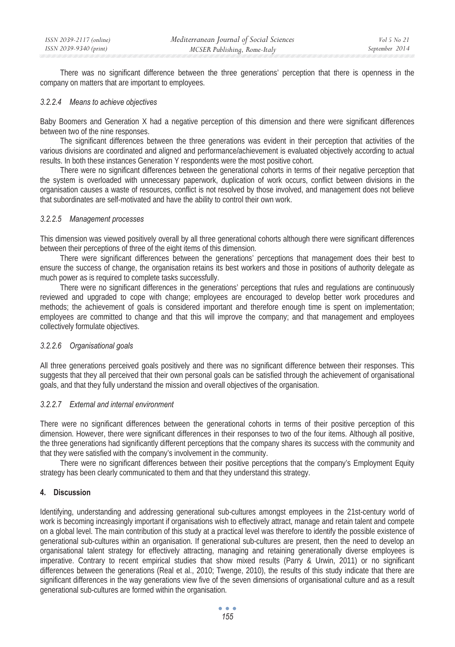There was no significant difference between the three generations' perception that there is openness in the company on matters that are important to employees.

#### *3.2.2.4 Means to achieve objectives*

Baby Boomers and Generation X had a negative perception of this dimension and there were significant differences between two of the nine responses.

The significant differences between the three generations was evident in their perception that activities of the various divisions are coordinated and aligned and performance/achievement is evaluated objectively according to actual results. In both these instances Generation Y respondents were the most positive cohort.

There were no significant differences between the generational cohorts in terms of their negative perception that the system is overloaded with unnecessary paperwork, duplication of work occurs, conflict between divisions in the organisation causes a waste of resources, conflict is not resolved by those involved, and management does not believe that subordinates are self-motivated and have the ability to control their own work.

#### *3.2.2.5 Management processes*

This dimension was viewed positively overall by all three generational cohorts although there were significant differences between their perceptions of three of the eight items of this dimension.

There were significant differences between the generations' perceptions that management does their best to ensure the success of change, the organisation retains its best workers and those in positions of authority delegate as much power as is required to complete tasks successfully.

There were no significant differences in the generations' perceptions that rules and regulations are continuously reviewed and upgraded to cope with change; employees are encouraged to develop better work procedures and methods; the achievement of goals is considered important and therefore enough time is spent on implementation; employees are committed to change and that this will improve the company; and that management and employees collectively formulate objectives.

#### *3.2.2.6 Organisational goals*

All three generations perceived goals positively and there was no significant difference between their responses. This suggests that they all perceived that their own personal goals can be satisfied through the achievement of organisational goals, and that they fully understand the mission and overall objectives of the organisation.

#### *3.2.2.7 External and internal environment*

There were no significant differences between the generational cohorts in terms of their positive perception of this dimension. However, there were significant differences in their responses to two of the four items. Although all positive, the three generations had significantly different perceptions that the company shares its success with the community and that they were satisfied with the company's involvement in the community.

There were no significant differences between their positive perceptions that the company's Employment Equity strategy has been clearly communicated to them and that they understand this strategy.

#### **4. Discussion**

Identifying, understanding and addressing generational sub-cultures amongst employees in the 21st-century world of work is becoming increasingly important if organisations wish to effectively attract, manage and retain talent and compete on a global level. The main contribution of this study at a practical level was therefore to identify the possible existence of generational sub-cultures within an organisation. If generational sub-cultures are present, then the need to develop an organisational talent strategy for effectively attracting, managing and retaining generationally diverse employees is imperative. Contrary to recent empirical studies that show mixed results (Parry & Urwin, 2011) or no significant differences between the generations (Real et al., 2010; Twenge, 2010), the results of this study indicate that there are significant differences in the way generations view five of the seven dimensions of organisational culture and as a result generational sub-cultures are formed within the organisation.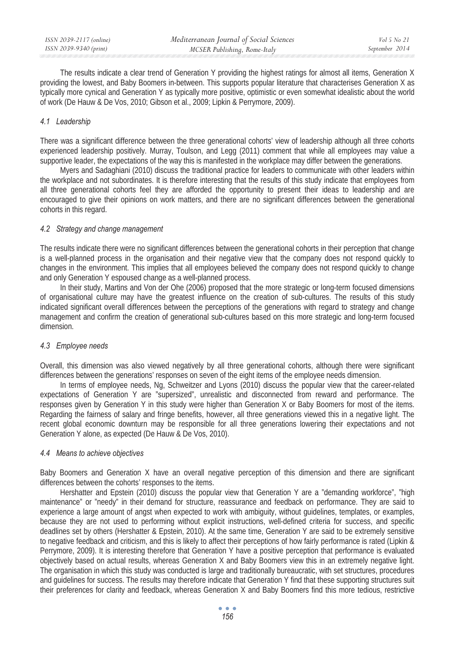The results indicate a clear trend of Generation Y providing the highest ratings for almost all items, Generation X providing the lowest, and Baby Boomers in-between. This supports popular literature that characterises Generation X as typically more cynical and Generation Y as typically more positive, optimistic or even somewhat idealistic about the world of work (De Hauw & De Vos, 2010; Gibson et al., 2009; Lipkin & Perrymore, 2009).

### *4.1 Leadership*

There was a significant difference between the three generational cohorts' view of leadership although all three cohorts experienced leadership positively. Murray, Toulson, and Legg (2011) comment that while all employees may value a supportive leader, the expectations of the way this is manifested in the workplace may differ between the generations.

Myers and Sadaghiani (2010) discuss the traditional practice for leaders to communicate with other leaders within the workplace and not subordinates. It is therefore interesting that the results of this study indicate that employees from all three generational cohorts feel they are afforded the opportunity to present their ideas to leadership and are encouraged to give their opinions on work matters, and there are no significant differences between the generational cohorts in this regard.

#### *4.2 Strategy and change management*

The results indicate there were no significant differences between the generational cohorts in their perception that change is a well-planned process in the organisation and their negative view that the company does not respond quickly to changes in the environment. This implies that all employees believed the company does not respond quickly to change and only Generation Y espoused change as a well-planned process.

In their study, Martins and Von der Ohe (2006) proposed that the more strategic or long-term focused dimensions of organisational culture may have the greatest influence on the creation of sub-cultures. The results of this study indicated significant overall differences between the perceptions of the generations with regard to strategy and change management and confirm the creation of generational sub-cultures based on this more strategic and long-term focused dimension.

#### *4.3 Employee needs*

Overall, this dimension was also viewed negatively by all three generational cohorts, although there were significant differences between the generations' responses on seven of the eight items of the employee needs dimension.

In terms of employee needs, Ng, Schweitzer and Lyons (2010) discuss the popular view that the career-related expectations of Generation Y are "supersized", unrealistic and disconnected from reward and performance. The responses given by Generation Y in this study were higher than Generation X or Baby Boomers for most of the items. Regarding the fairness of salary and fringe benefits, however, all three generations viewed this in a negative light. The recent global economic downturn may be responsible for all three generations lowering their expectations and not Generation Y alone, as expected (De Hauw & De Vos, 2010).

#### *4.4 Means to achieve objectives*

Baby Boomers and Generation X have an overall negative perception of this dimension and there are significant differences between the cohorts' responses to the items.

Hershatter and Epstein (2010) discuss the popular view that Generation Y are a "demanding workforce", "high maintenance" or "needy" in their demand for structure, reassurance and feedback on performance. They are said to experience a large amount of angst when expected to work with ambiguity, without guidelines, templates, or examples, because they are not used to performing without explicit instructions, well-defined criteria for success, and specific deadlines set by others (Hershatter & Epstein, 2010). At the same time, Generation Y are said to be extremely sensitive to negative feedback and criticism, and this is likely to affect their perceptions of how fairly performance is rated (Lipkin & Perrymore, 2009). It is interesting therefore that Generation Y have a positive perception that performance is evaluated objectively based on actual results, whereas Generation X and Baby Boomers view this in an extremely negative light. The organisation in which this study was conducted is large and traditionally bureaucratic, with set structures, procedures and guidelines for success. The results may therefore indicate that Generation Y find that these supporting structures suit their preferences for clarity and feedback, whereas Generation X and Baby Boomers find this more tedious, restrictive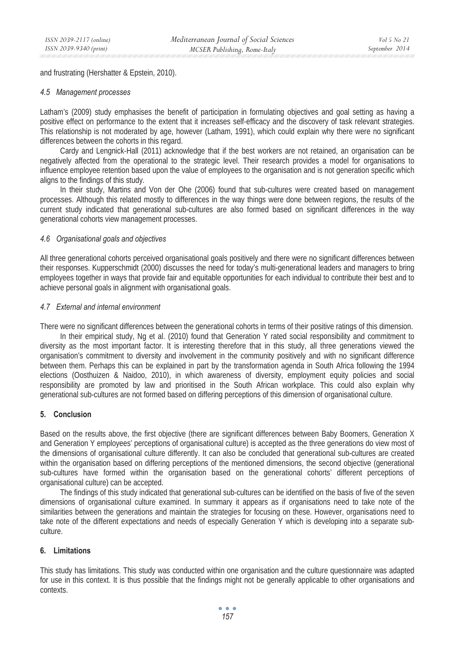and frustrating (Hershatter & Epstein, 2010).

#### *4.5 Management processes*

Latham's (2009) study emphasises the benefit of participation in formulating objectives and goal setting as having a positive effect on performance to the extent that it increases self-efficacy and the discovery of task relevant strategies. This relationship is not moderated by age, however (Latham, 1991), which could explain why there were no significant differences between the cohorts in this regard.

Cardy and Lengnick-Hall (2011) acknowledge that if the best workers are not retained, an organisation can be negatively affected from the operational to the strategic level. Their research provides a model for organisations to influence employee retention based upon the value of employees to the organisation and is not generation specific which aligns to the findings of this study.

In their study, Martins and Von der Ohe (2006) found that sub-cultures were created based on management processes. Although this related mostly to differences in the way things were done between regions, the results of the current study indicated that generational sub-cultures are also formed based on significant differences in the way generational cohorts view management processes.

### *4.6 Organisational goals and objectives*

All three generational cohorts perceived organisational goals positively and there were no significant differences between their responses. Kupperschmidt (2000) discusses the need for today's multi-generational leaders and managers to bring employees together in ways that provide fair and equitable opportunities for each individual to contribute their best and to achieve personal goals in alignment with organisational goals.

### *4.7 External and internal environment*

There were no significant differences between the generational cohorts in terms of their positive ratings of this dimension.

In their empirical study, Ng et al. (2010) found that Generation Y rated social responsibility and commitment to diversity as the most important factor. It is interesting therefore that in this study, all three generations viewed the organisation's commitment to diversity and involvement in the community positively and with no significant difference between them. Perhaps this can be explained in part by the transformation agenda in South Africa following the 1994 elections (Oosthuizen & Naidoo, 2010), in which awareness of diversity, employment equity policies and social responsibility are promoted by law and prioritised in the South African workplace. This could also explain why generational sub-cultures are not formed based on differing perceptions of this dimension of organisational culture.

#### **5. Conclusion**

Based on the results above, the first objective (there are significant differences between Baby Boomers, Generation X and Generation Y employees' perceptions of organisational culture) is accepted as the three generations do view most of the dimensions of organisational culture differently. It can also be concluded that generational sub-cultures are created within the organisation based on differing perceptions of the mentioned dimensions, the second objective (generational sub-cultures have formed within the organisation based on the generational cohorts' different perceptions of organisational culture) can be accepted.

The findings of this study indicated that generational sub-cultures can be identified on the basis of five of the seven dimensions of organisational culture examined. In summary it appears as if organisations need to take note of the similarities between the generations and maintain the strategies for focusing on these. However, organisations need to take note of the different expectations and needs of especially Generation Y which is developing into a separate subculture.

## **6. Limitations**

This study has limitations. This study was conducted within one organisation and the culture questionnaire was adapted for use in this context. It is thus possible that the findings might not be generally applicable to other organisations and contexts.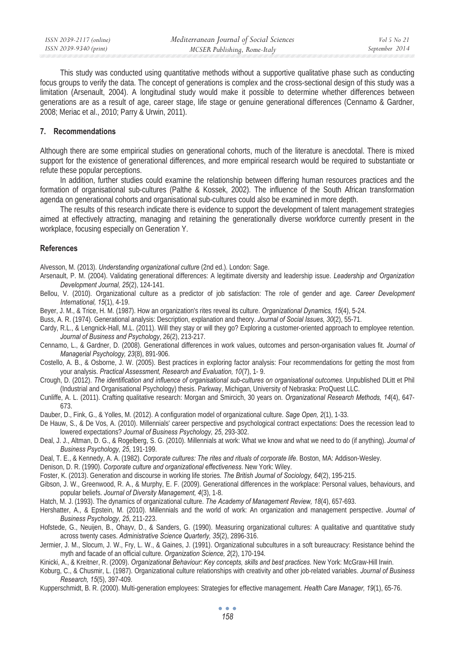| ISSN 2039-2117 (online) | Mediterranean Journal of Social Sciences | <i>Vol 5 No 21</i> |
|-------------------------|------------------------------------------|--------------------|
| ISSN 2039-9340 (print)  | MCSER Publishing, Rome-Italy             | September 2014     |

This study was conducted using quantitative methods without a supportive qualitative phase such as conducting focus groups to verify the data. The concept of generations is complex and the cross-sectional design of this study was a limitation (Arsenault, 2004). A longitudinal study would make it possible to determine whether differences between generations are as a result of age, career stage, life stage or genuine generational differences (Cennamo & Gardner, 2008; Meriac et al., 2010; Parry & Urwin, 2011).

#### **7. Recommendations**

Although there are some empirical studies on generational cohorts, much of the literature is anecdotal. There is mixed support for the existence of generational differences, and more empirical research would be required to substantiate or refute these popular perceptions.

In addition, further studies could examine the relationship between differing human resources practices and the formation of organisational sub-cultures (Palthe & Kossek, 2002). The influence of the South African transformation agenda on generational cohorts and organisational sub-cultures could also be examined in more depth.

The results of this research indicate there is evidence to support the development of talent management strategies aimed at effectively attracting, managing and retaining the generationally diverse workforce currently present in the workplace, focusing especially on Generation Y.

#### **References**

Alvesson, M. (2013). *Understanding organizational culture* (2nd ed.). London: Sage.

- Arsenault, P. M. (2004). Validating generational differences: A legitimate diversity and leadership issue. *Leadership and Organization Development Journal, 25*(2), 124-141.
- Bellou, V. (2010). Organizational culture as a predictor of job satisfaction: The role of gender and age. *Career Development International, 15*(1), 4-19.
- Beyer, J. M., & Trice, H. M. (1987). How an organization's rites reveal its culture. *Organizational Dynamics, 15*(4), 5-24.
- Buss, A. R. (1974). Generational analysis: Description, explanation and theory. *Journal of Social Issues, 30*(2), 55-71.
- Cardy, R.L., & Lengnick-Hall, M.L. (2011). Will they stay or will they go? Exploring a customer-oriented approach to employee retention. *Journal of Business and Psychology*, 26(2), 213-217.
- Cennamo, L., & Gardner, D. (2008). Generational differences in work values, outcomes and person-organisation values fit. *Journal of Managerial Psychology, 23*(8), 891-906.
- Costello, A. B., & Osborne, J. W. (2005). Best practices in exploring factor analysis: Four recommendations for getting the most from your analysis. *Practical Assessment, Research and Evaluation, 10*(7), 1- 9.
- Crough, D. (2012). *The identification and influence of organisational sub-cultures on organisational outcomes.* Unpublished DLitt et Phil (Industrial and Organisational Psychology) thesis. Parkway, Michigan, University of Nebraska: ProQuest LLC.
- Cunliffe, A. L. (2011). Crafting qualitative research: Morgan and Smircich, 30 years on. *Organizational Research Methods, 14*(4), 647- 673.
- Dauber, D., Fink, G., & Yolles, M. (2012). A configuration model of organizational culture. *Sage Open, 2*(1), 1-33.
- De Hauw, S., & De Vos, A. (2010). Millennials' career perspective and psychological contract expectations: Does the recession lead to lowered expectations? *Journal of Business Psychology, 25*, 293-302.
- Deal, J. J., Altman, D. G., & Rogelberg, S. G. (2010). Millennials at work: What we know and what we need to do (if anything). *Journal of Business Psychology, 25*, 191-199.
- Deal, T. E., & Kennedy, A. A. (1982). *Corporate cultures: The rites and rituals of corporate life*. Boston, MA: Addison-Wesley.
- Denison, D. R. (1990). *Corporate culture and organizational effectiveness*. New York: Wiley.
- Foster, K. (2013). Generation and discourse in working life stories. *The British Journal of Sociology, 64*(2), 195-215.
- Gibson, J. W., Greenwood, R. A., & Murphy, E. F. (2009). Generational differences in the workplace: Personal values, behaviours, and popular beliefs. *Journal of Diversity Management, 4*(3), 1-8.
- Hatch, M. J. (1993). The dynamics of organizational culture. *The Academy of Management Review, 18*(4), 657-693.
- Hershatter, A., & Epstein, M. (2010). Millennials and the world of work: An organization and management perspective. *Journal of Business Psychology, 25*, 211-223.
- Hofstede, G., Neuijen, B., Ohayv, D., & Sanders, G. (1990). Measuring organizational cultures: A qualitative and quantitative study across twenty cases. *Administrative Science Quarterly, 35*(2), 2896-316.
- Jermier, J. M., Slocum, J. W., Fry, L. W., & Gaines, J. (1991). Organizational subcultures in a soft bureaucracy: Resistance behind the myth and facade of an official culture. *Organization Science, 2*(2), 170-194.
- Kinicki, A., & Kreitner, R. (2009). *Organizational Behaviour: Key concepts, skills and best practices.* New York: McGraw-Hill Irwin.
- Koburg, C., & Chusmir, L. (1987). Organizational culture relationships with creativity and other job-related variables. *Journal of Business Research, 15*(5), 397-409.
- Kupperschmidt, B. R. (2000). Multi-generation employees: Strategies for effective management. *Health Care Manager, 19*(1), 65-76.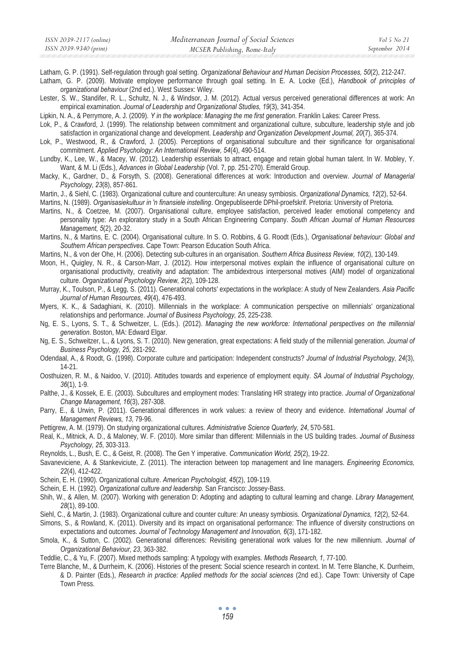| ISSN 2039-2117 (online) | Mediterranean Journal of Social Sciences | Vol 5 No 21    |
|-------------------------|------------------------------------------|----------------|
| ISSN 2039-9340 (print)  | MCSER Publishing, Rome-Italy             | September 2014 |

Latham, G. P. (1991). Self-regulation through goal setting. *Organizational Behaviour and Human Decision Processes, 50*(2), 212-247.

Latham, G. P. (2009). Motivate employee performance through goal setting. In E. A. Locke (Ed.), *Handbook of principles of organizational behaviour* (2nd ed.). West Sussex: Wiley.

Lester, S. W., Standifer, R. L., Schultz, N. J., & Windsor, J. M. (2012). Actual versus perceived generational differences at work: An empirical examination. *Journal of Leadership and Organizational Studies, 19*(3), 341-354.

Lipkin, N. A., & Perrymore, A. J. (2009). *Y in the workplace: Managing the me first generation*. Franklin Lakes: Career Press.

Lok, P., & Crawford, J. (1999). The relationship between commitment and organizational culture, subculture, leadership style and job satisfaction in organizational change and development. *Leadership and Organization Development Journal, 20*(7), 365-374.

Lok, P., Westwood, R., & Crawford, J. (2005). Perceptions of organisational subculture and their significance for organisational commitment. *Applied Psychology: An International Review, 54*(4), 490-514.

Lundby, K., Lee, W., & Macey, W. (2012). Leadership essentials to attract, engage and retain global human talent. In W. Mobley, Y. Want, & M. Li (Eds.), *Advances in Global Leadership* (Vol. 7, pp. 251-270). Emerald Group.

Macky, K., Gardner, D., & Forsyth, S. (2008). Generational differences at work: Introduction and overview. *Journal of Managerial Psychology, 23*(8), 857-861.

Martin, J., & Siehl, C. (1983). Organizational culture and counterculture: An uneasy symbiosis. *Organizational Dynamics, 12*(2), 52-64.

Martins, N. (1989). *Organisasiekultuur in 'n finansiele instelling*. Ongepubliseerde DPhil-proefskrif. Pretoria: University of Pretoria.

Martins, N., & Coetzee, M. (2007). Organisational culture, employee satisfaction, perceived leader emotional competency and personality type: An exploratory study in a South African Engineering Company. *South African Journal of Human Resources Management, 5*(2), 20-32.

Martins, N., & Martins, E. C. (2004). Organisational culture. In S. O. Robbins, & G. Roodt (Eds.), *Organisational behaviour: Global and Southern African perspectives*. Cape Town: Pearson Education South Africa.

Martins, N., & von der Ohe, H. (2006). Detecting sub-cultures in an organisation. *Southern Africa Business Review, 10*(2), 130-149.

Moon, H., Quigley, N. R., & Carson-Marr, J. (2012). How interpersonal motives explain the influence of organisational culture on organisational productivity, creativity and adaptation: The ambidextrous interpersonal motives (AIM) model of organizational culture. *Organizational Psychology Review, 2*(2), 109-128.

Murray, K., Toulson, P., & Legg, S. (2011). Generational cohorts' expectations in the workplace: A study of New Zealanders. *Asia Pacific Journal of Human Resources, 49*(4), 476-493.

Myers, K. K., & Sadaghiani, K. (2010). Millennials in the workplace: A communication perspective on millennials' organizational relationships and performance. *Journal of Business Psychology, 25*, 225-238.

Ng, E. S., Lyons, S. T., & Schweitzer, L. (Eds.). (2012). *Managing the new workforce: International perspectives on the millennial generation*. Boston, MA: Edward Elgar.

Ng, E. S., Schweitzer, L., & Lyons, S. T. (2010). New generation, great expectations: A field study of the millennial generation. *Journal of Business Psychology, 25*, 281-292.

Odendaal, A., & Roodt, G. (1998). Corporate culture and participation: Independent constructs? *Journal of Industrial Psychology, 24*(3), 14-21.

Oosthuizen, R. M., & Naidoo, V. (2010). Attitudes towards and experience of employment equity. *SA Journal of Industrial Psychology, 36*(1), 1-9.

Palthe, J., & Kossek, E. E. (2003). Subcultures and employment modes: Translating HR strategy into practice. *Journal of Organizational Change Management, 16*(3), 287-308.

Parry, E., & Urwin, P. (2011). Generational differences in work values: a review of theory and evidence. *International Journal of Management Reviews, 13*, 79-96.

Pettigrew, A. M. (1979). On studying organizational cultures. *Administrative Science Quarterly, 24*, 570-581.

Real, K., Mitnick, A. D., & Maloney, W. F. (2010). More similar than different: Millennials in the US building trades. *Journal of Business Psychology, 25*, 303-313.

Reynolds, L., Bush, E. C., & Geist, R. (2008). The Gen Y imperative. *Communication World, 25*(2), 19-22.

Savaneviciene, A. & Stankeviciute, Z. (2011). The interaction between top management and line managers. *Engineering Economics, 22*(4), 412-422.

Schein, E. H. (1990). Organizational culture. *American Psychologist, 45*(2), 109-119.

Schein, E. H. (1992). *Organizational culture and leadership.* San Francisco: Jossey-Bass.

Shih, W., & Allen, M. (2007). Working with generation D: Adopting and adapting to cultural learning and change. *Library Management, 28*(1), 89-100.

Siehl, C., & Martin, J. (1983). Organizational culture and counter culture: An uneasy symbiosis. *Organizational Dynamics, 12*(2), 52-64.

Simons, S., & Rowland, K. (2011). Diversity and its impact on organisational performance: The influence of diversity constructions on expectations and outcomes. *Journal of Technology Management and Innovation, 6*(3), 171-182.

Smola, K., & Sutton, C. (2002). Generational differences: Revisiting generational work values for the new millennium. *Journal of Organizational Behaviour, 23*, 363-382.

Teddlie, C., & Yu, F. (2007). Mixed methods sampling: A typology with examples. *Methods Research, 1*, 77-100.

Terre Blanche, M., & Durrheim, K. (2006). Histories of the present: Social science research in context. In M. Terre Blanche, K. Durrheim, & D. Painter (Eds.), *Research in practice: Applied methods for the social sciences* (2nd ed.). Cape Town: University of Cape Town Press.